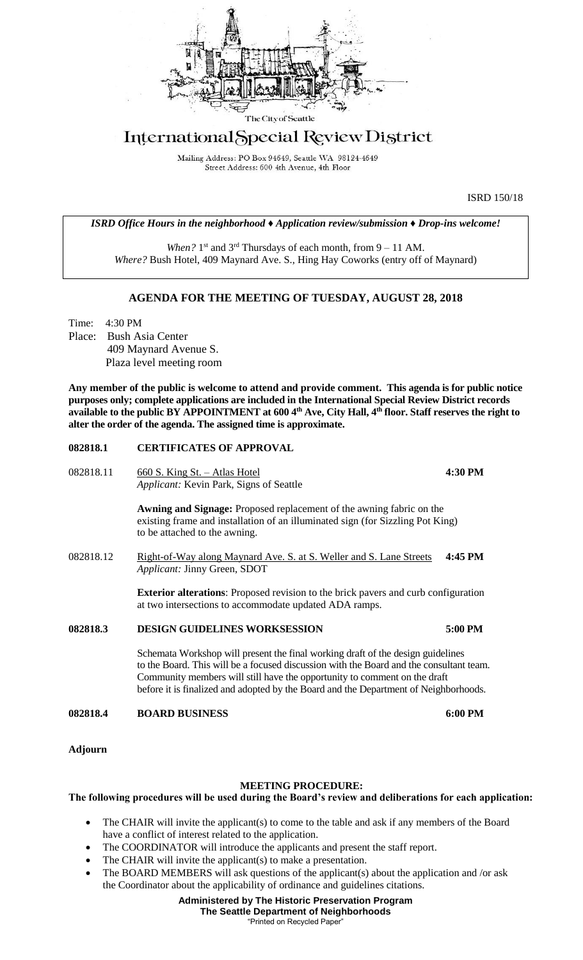

# International Special Review District

Mailing Address: PO Box 94649, Seattle WA 98124-4649 Street Address: 600 4th Avenue, 4th Floor

ISRD 150/18

#### *ISRD Office Hours in the neighborhood ♦ Application review/submission ♦ Drop-ins welcome!*

When? 1<sup>st</sup> and 3<sup>rd</sup> Thursdays of each month, from 9 – 11 AM. *Where?* Bush Hotel, 409 Maynard Ave. S., Hing Hay Coworks (entry off of Maynard)

### **AGENDA FOR THE MEETING OF TUESDAY, AUGUST 28, 2018**

Time: 4:30 PM Place: Bush Asia Center 409 Maynard Avenue S. Plaza level meeting room

**Any member of the public is welcome to attend and provide comment. This agenda is for public notice purposes only; complete applications are included in the International Special Review District records available to the public BY APPOINTMENT at 600 4th Ave, City Hall, 4th floor. Staff reserves the right to alter the order of the agenda. The assigned time is approximate.** 

#### **082818.1 CERTIFICATES OF APPROVAL**

082818.11 660 S. King St. – Atlas Hotel **4:30 PM** *Applicant:* Kevin Park, Signs of Seattle **Awning and Signage:** Proposed replacement of the awning fabric on the existing frame and installation of an illuminated sign (for Sizzling Pot King) to be attached to the awning. 082818.12 Right-of-Way along Maynard Ave. S. at S. Weller and S. Lane Streets **4:45 PM** *Applicant:* Jinny Green, SDOT **Exterior alterations**: Proposed revision to the brick pavers and curb configuration at two intersections to accommodate updated ADA ramps. **082818.3 DESIGN GUIDELINES WORKSESSION 5:00 PM** Schemata Workshop will present the final working draft of the design guidelines to the Board. This will be a focused discussion with the Board and the consultant team. Community members will still have the opportunity to comment on the draft before it is finalized and adopted by the Board and the Department of Neighborhoods. **082818.4 BOARD BUSINESS 6:00 PM**

**Adjourn**

## **MEETING PROCEDURE:**

#### **The following procedures will be used during the Board's review and deliberations for each application:**

- The CHAIR will invite the applicant(s) to come to the table and ask if any members of the Board have a conflict of interest related to the application.
- The COORDINATOR will introduce the applicants and present the staff report.
- The CHAIR will invite the applicant(s) to make a presentation.
- The BOARD MEMBERS will ask questions of the applicant(s) about the application and /or ask the Coordinator about the applicability of ordinance and guidelines citations.

**Administered by The Historic Preservation Program The Seattle Department of Neighborhoods** "Printed on Recycled Paper"